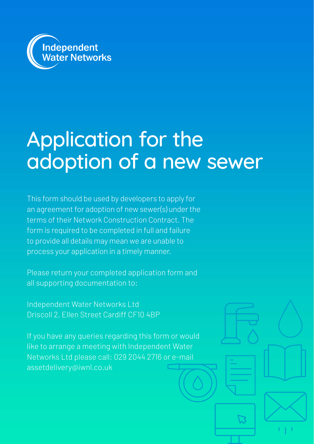

# Application for the adoption of a new sewer

This form should be used by developers to apply for an agreement for adoption of new sewer(s) under the terms of their Network Construction Contract. The form is required to be completed in full and failure to provide all details may mean we are unable to process your application in a timely manner.

Please return your completed application form and all supporting documentation to:

Independent Water Networks Ltd Driscoll 2, Ellen Street Cardiff CF10 4BP

If you have any queries regarding this form or would like to arrange a meeting with Independent Water Networks Ltd please call: 029 2044 2716 or e-mail assetdelivery@iwnl.co.uk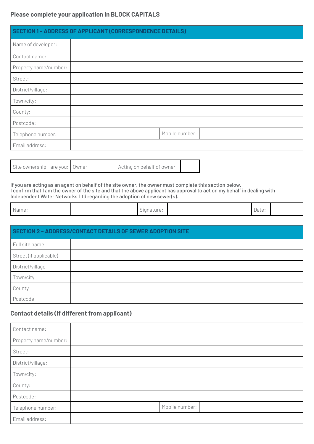#### **Please complete your application in BLOCK CAPITALS**

|                       | <b>SECTION 1-ADDRESS OF APPLICANT (CORRESPONDENCE DETAILS)</b> |                |  |  |  |
|-----------------------|----------------------------------------------------------------|----------------|--|--|--|
| Name of developer:    |                                                                |                |  |  |  |
| Contact name:         |                                                                |                |  |  |  |
| Property name/number: |                                                                |                |  |  |  |
| Street:               |                                                                |                |  |  |  |
| District/village:     |                                                                |                |  |  |  |
| Town/city:            |                                                                |                |  |  |  |
| County:               |                                                                |                |  |  |  |
| Postcode:             |                                                                |                |  |  |  |
| Telephone number:     |                                                                | Mobile number: |  |  |  |
| Email address:        |                                                                |                |  |  |  |

| Acting on behalf of owner |  | Site ownership - are you: Owner |
|---------------------------|--|---------------------------------|
|---------------------------|--|---------------------------------|

If you are acting as an agent on behalf of the site owner, the owner must complete this section below. I confirm that I am the owner of the site and that the above applicant has approval to act on my behalf in dealing with Independent Water Networks Ltd regarding the adoption of new sewer(s).

| $\mathbb{R}$<br>'Name: | $\sim$ .<br>signature: | Date: |  |
|------------------------|------------------------|-------|--|
|                        |                        |       |  |

| SECTION 2 - ADDRESS/CONTACT DETAILS OF SEWER ADOPTION SITE |  |  |  |  |
|------------------------------------------------------------|--|--|--|--|
| Full site name                                             |  |  |  |  |
| Street (if applicable)                                     |  |  |  |  |
| District/village                                           |  |  |  |  |
| Town/city                                                  |  |  |  |  |
| County                                                     |  |  |  |  |
| Postcode                                                   |  |  |  |  |

### **Contact details (if different from applicant)**

| Contact name:         |                |
|-----------------------|----------------|
| Property name/number: |                |
| Street:               |                |
| District/village:     |                |
| Town/city:            |                |
| County:               |                |
| Postcode:             |                |
| Telephone number:     | Mobile number: |
| Email address:        |                |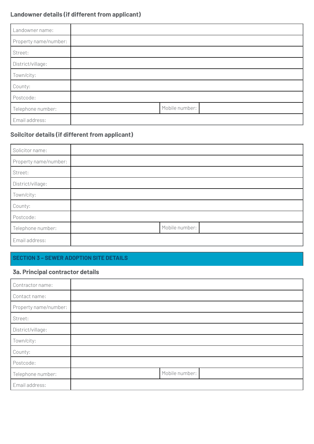## **Landowner details (if different from applicant)**

| Landowner name:       |  |                |  |  |
|-----------------------|--|----------------|--|--|
| Property name/number: |  |                |  |  |
| Street:               |  |                |  |  |
| District/village:     |  |                |  |  |
| Town/city:            |  |                |  |  |
| County:               |  |                |  |  |
| Postcode:             |  |                |  |  |
| Telephone number:     |  | Mobile number: |  |  |
| Email address:        |  |                |  |  |

## **Soilcitor details (if different from applicant)**

| Solicitor name:       |                |  |
|-----------------------|----------------|--|
| Property name/number: |                |  |
| Street:               |                |  |
| District/village:     |                |  |
| Town/city:            |                |  |
| County:               |                |  |
| Postcode:             |                |  |
| Telephone number:     | Mobile number: |  |
| Email address:        |                |  |

## **SECTION 3 – SEWER ADOPTION SITE DETAILS**

#### **3a. Principal contractor details**

| Contractor name:      |                |  |
|-----------------------|----------------|--|
| Contact name:         |                |  |
| Property name/number: |                |  |
| Street:               |                |  |
| District/village:     |                |  |
| Town/city:            |                |  |
| County:               |                |  |
| Postcode:             |                |  |
| Telephone number:     | Mobile number: |  |
| Email address:        |                |  |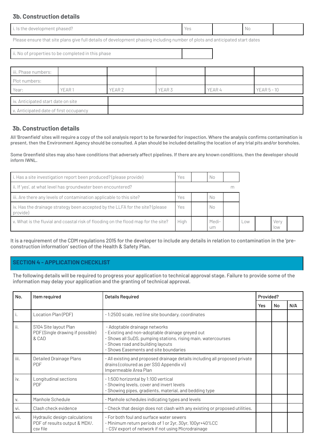#### **3b. Construction details**

| mhaseu.<br>neve.<br>юыне<br>$\cdots$ | $\cap$<br>$\sim$ | ' Nu |  |
|--------------------------------------|------------------|------|--|
|                                      |                  |      |  |

Please ensure that site plans give full details of development phasing including number of plots and anticipated start dates

ii. No of properties to be completed in this phase

| iii. Phase numbers:                    |       |        |        |        |               |
|----------------------------------------|-------|--------|--------|--------|---------------|
| Plot numbers:                          |       |        |        |        |               |
| Year:                                  | YEAR1 | YEAR 2 | YEAR 3 | YEAR 4 | $YEAR 5 - 10$ |
| iv. Anticipated start date on site     |       |        |        |        |               |
| v. Anticipated date of first occupancy |       |        |        |        |               |

#### **3b. Construction details**

All 'Brownfield' sites will require a copy of the soil analysis report to be forwarded for inspection. Where the analysis confirms contamination is present, then the Environment Agency should be consulted. A plan should be included detailing the location of any trial pits and/or boreholes.

Some Greenfield sites may also have conditions that adversely affect pipelines. If there are any known conditions, then the developer should inform IWNL.

| i. Has a site investigation report been produced? (please provide)                        | Yes  | No.         |   |     |             |  |
|-------------------------------------------------------------------------------------------|------|-------------|---|-----|-------------|--|
| ii. If 'yes', at what level has groundwater been encountered?                             |      |             | m |     |             |  |
| iii. Are there any levels of contamination applicable to this site?                       | Yes  | No.         |   |     |             |  |
| iv. Has the drainage strategy been accepted by the LLFA for the site? (please<br>provide) | Yes  | No.         |   |     |             |  |
| v. What is the fluvial and coastal risk of flooding on the flood map for the site?        | High | Medi-<br>um |   | Low | Very<br>low |  |

It is a requirement of the CDM regulations 2015 for the developer to include any details in relation to contamination in the 'preconstruction information' section of the Health & Safety Plan.

#### **SECTION 4 - APPLICATION CHECKLIST**

The following details will be required to progress your application to technical approval stage. Failure to provide some of the information may delay your application and the granting of technical approval.

| No.  | Item required                                                              | <b>Details Required</b>                                                                                                                                                                                                          | Provided? |    |     |
|------|----------------------------------------------------------------------------|----------------------------------------------------------------------------------------------------------------------------------------------------------------------------------------------------------------------------------|-----------|----|-----|
|      |                                                                            |                                                                                                                                                                                                                                  | Yes       | No | N/A |
| i.   | Location Plan (PDF)                                                        | -1:2500 scale, red line site boundary, coordinates                                                                                                                                                                               |           |    |     |
| ii.  | S104 Site layout Plan<br>PDF (Single drawing if possible)<br>& CAD         | - Adoptable drainage networks<br>- Existing and non-adoptable drainage greyed out<br>- Shows all SuDS, pumping stations, rising main, watercourses<br>- Shows road and building layouts<br>- Shows Easements and site boundaries |           |    |     |
| iii. | Detailed Drainage Plans<br><b>PDF</b>                                      | - All existing and proposed drainage details including all proposed private<br>drains (coloured as per SSG Appendix vi)<br>Impermeable Area Plan                                                                                 |           |    |     |
| iv.  | Longitudinal sections<br><b>PDF</b>                                        | -1:500 horizontal by 1:100 vertical<br>- Showing levels, cover and invert levels<br>- Showing pipes, gradients, material, and bedding type                                                                                       |           |    |     |
| V.   | Manhole Schedule                                                           | - Manhole schedules indicating types and levels                                                                                                                                                                                  |           |    |     |
| vi.  | Clash check evidence                                                       | - Check that design does not clash with any existing or proposed utilities.                                                                                                                                                      |           |    |     |
| vii. | Hydraulic design calculations<br>PDF of results output & MDX/.<br>csv file | - For both foul and surface water sewers<br>- Minimum return periods of 1 or 2yr, 30yr, 100yr+40%CC<br>- CSV export of network if not using Microdrainage                                                                        |           |    |     |